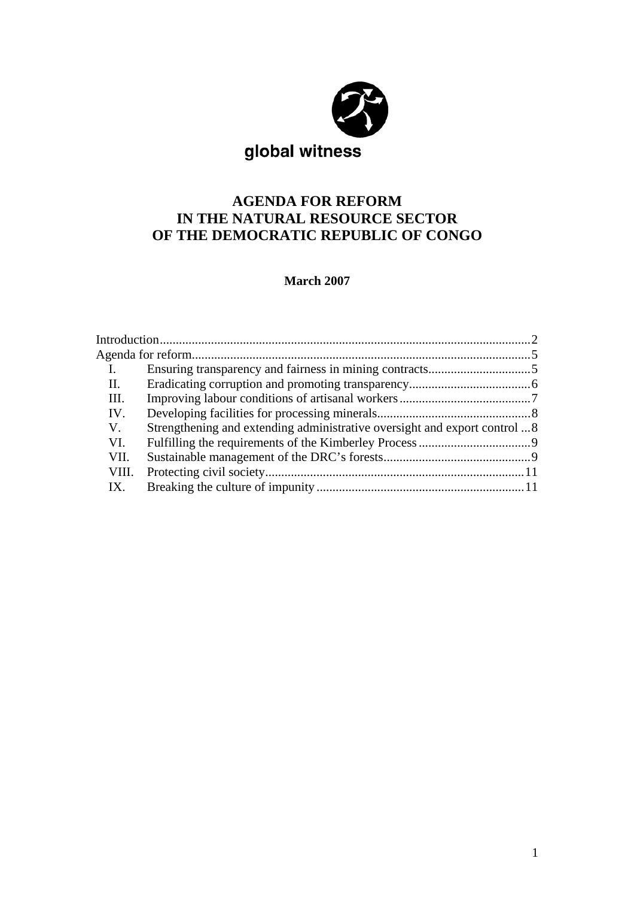

# **AGENDA FOR REFORM IN THE NATURAL RESOURCE SECTOR OF THE DEMOCRATIC REPUBLIC OF CONGO**

**March 2007** 

| П.          |                                                                           |  |
|-------------|---------------------------------------------------------------------------|--|
| III.        |                                                                           |  |
| IV.         |                                                                           |  |
| $V_{\cdot}$ | Strengthening and extending administrative oversight and export control 8 |  |
| VI.         |                                                                           |  |
| VII.        |                                                                           |  |
| VIII.       |                                                                           |  |
| $IX_{-}$    |                                                                           |  |
|             |                                                                           |  |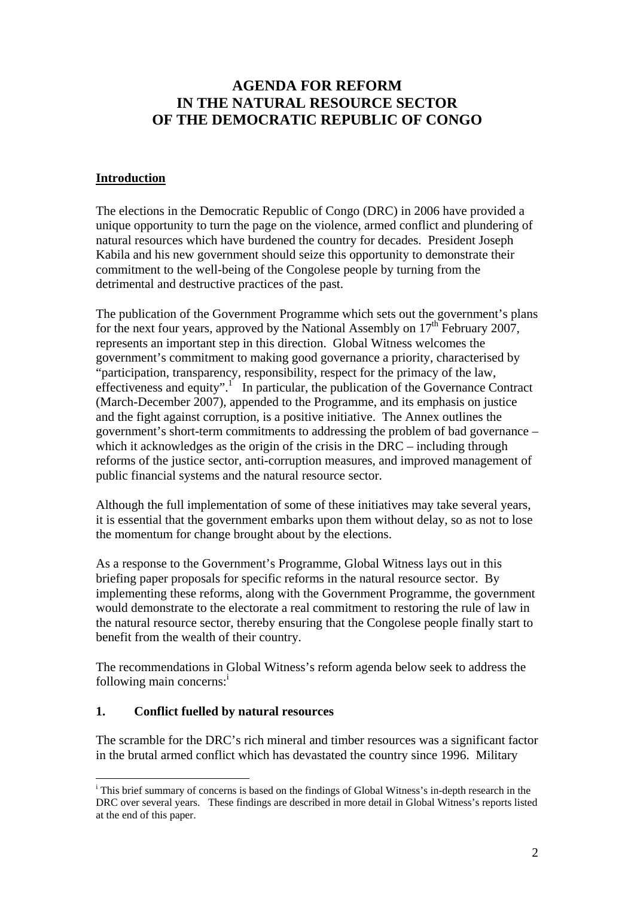# **AGENDA FOR REFORM IN THE NATURAL RESOURCE SECTOR OF THE DEMOCRATIC REPUBLIC OF CONGO**

#### **Introduction**

The elections in the Democratic Republic of Congo (DRC) in 2006 have provided a unique opportunity to turn the page on the violence, armed conflict and plundering of natural resources which have burdened the country for decades. President Joseph Kabila and his new government should seize this opportunity to demonstrate their commitment to the well-being of the Congolese people by turning from the detrimental and destructive practices of the past.

The publication of the Government Programme which sets out the government's plans for the next four years, approved by the National Assembly on  $17<sup>th</sup>$  February 2007, represents an important step in this direction. Global Witness welcomes the government's commitment to making good governance a priority, characterised by "participation, transparency, responsibility, respect for the primacy of the law, effectiveness and equity".<sup>1</sup> In particular, the publication of the Governance Contract (March-December 2007), appended to the Programme, and its emphasis on justice and the fight against corruption, is a positive initiative. The Annex outlines the government's short-term commitments to addressing the problem of bad governance – which it acknowledges as the origin of the crisis in the DRC – including through reforms of the justice sector, anti-corruption measures, and improved management of public financial systems and the natural resource sector.

Although the full implementation of some of these initiatives may take several years, it is essential that the government embarks upon them without delay, so as not to lose the momentum for change brought about by the elections.

As a response to the Government's Programme, Global Witness lays out in this briefing paper proposals for specific reforms in the natural resource sector. By implementing these reforms, along with the Government Programme, the government would demonstrate to the electorate a real commitment to restoring the rule of law in the natural resource sector, thereby ensuring that the Congolese people finally start to benefit from the wealth of their country.

The recommendations in Global Witness's reform agenda below seek to address the following main concerns:<sup>i</sup>

#### **1. Conflict fuelled by natural resources**

 $\overline{a}$ 

The scramble for the DRC's rich mineral and timber resources was a significant factor in the brutal armed conflict which has devastated the country since 1996. Military

<sup>&</sup>lt;sup>i</sup> This brief summary of concerns is based on the findings of Global Witness's in-depth research in the DRC over several years. These findings are described in more detail in Global Witness's reports listed at the end of this paper.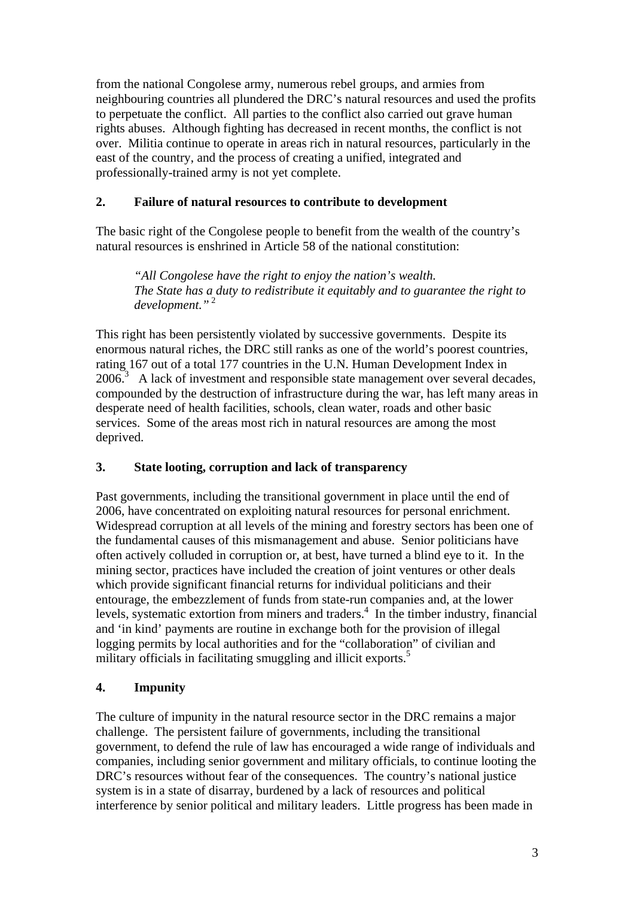from the national Congolese army, numerous rebel groups, and armies from neighbouring countries all plundered the DRC's natural resources and used the profits to perpetuate the conflict. All parties to the conflict also carried out grave human rights abuses. Although fighting has decreased in recent months, the conflict is not over. Militia continue to operate in areas rich in natural resources, particularly in the east of the country, and the process of creating a unified, integrated and professionally-trained army is not yet complete.

### **2. Failure of natural resources to contribute to development**

The basic right of the Congolese people to benefit from the wealth of the country's natural resources is enshrined in Article 58 of the national constitution:

*"All Congolese have the right to enjoy the nation's wealth. The State has a duty to redistribute it equitably and to guarantee the right to development."*<sup>2</sup>

This right has been persistently violated by successive governments. Despite its enormous natural riches, the DRC still ranks as one of the world's poorest countries, rating 167 out of a total 177 countries in the U.N. Human Development Index in  $2006$ <sup>3</sup> A lack of investment and responsible state management over several decades, compounded by the destruction of infrastructure during the war, has left many areas in desperate need of health facilities, schools, clean water, roads and other basic services. Some of the areas most rich in natural resources are among the most deprived.

## **3. State looting, corruption and lack of transparency**

Past governments, including the transitional government in place until the end of 2006, have concentrated on exploiting natural resources for personal enrichment. Widespread corruption at all levels of the mining and forestry sectors has been one of the fundamental causes of this mismanagement and abuse. Senior politicians have often actively colluded in corruption or, at best, have turned a blind eye to it. In the mining sector, practices have included the creation of joint ventures or other deals which provide significant financial returns for individual politicians and their entourage, the embezzlement of funds from state-run companies and, at the lower levels, systematic extortion from miners and traders. $4$  In the timber industry, financial and 'in kind' payments are routine in exchange both for the provision of illegal logging permits by local authorities and for the "collaboration" of civilian and military officials in facilitating smuggling and illicit exports.<sup>5</sup>

## **4. Impunity**

The culture of impunity in the natural resource sector in the DRC remains a major challenge. The persistent failure of governments, including the transitional government, to defend the rule of law has encouraged a wide range of individuals and companies, including senior government and military officials, to continue looting the DRC's resources without fear of the consequences. The country's national justice system is in a state of disarray, burdened by a lack of resources and political interference by senior political and military leaders. Little progress has been made in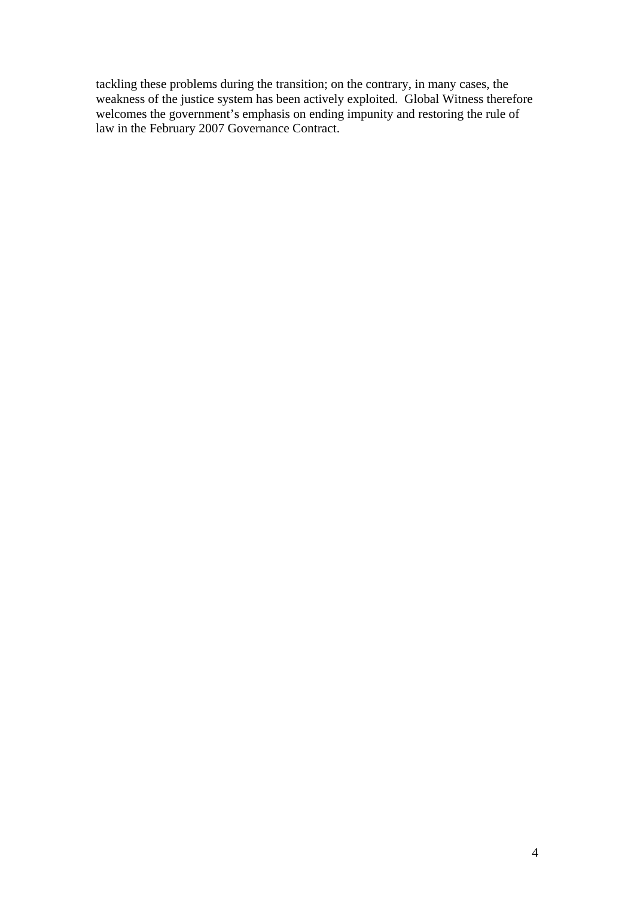tackling these problems during the transition; on the contrary, in many cases, the weakness of the justice system has been actively exploited. Global Witness therefore welcomes the government's emphasis on ending impunity and restoring the rule of law in the February 2007 Governance Contract.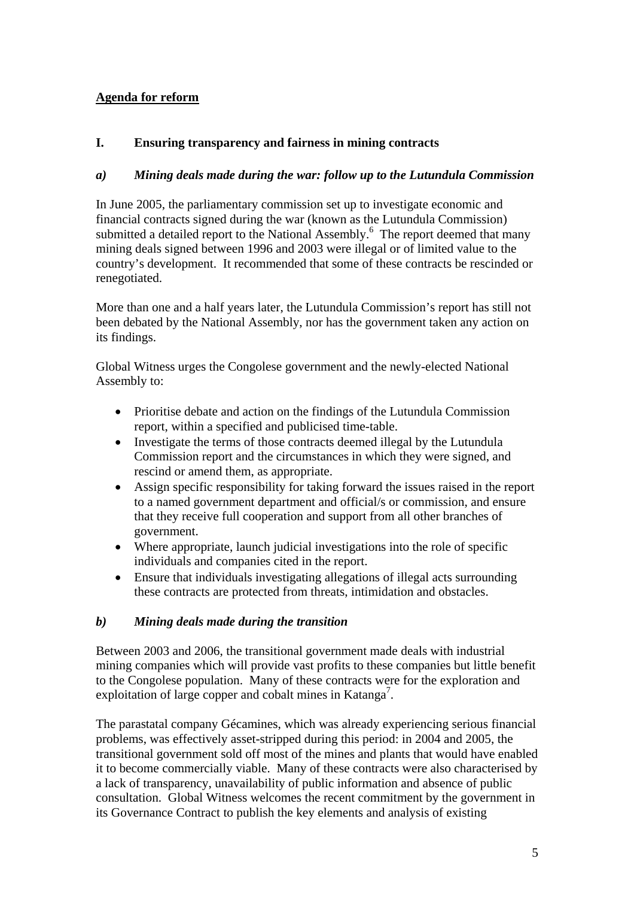## **Agenda for reform**

### **I. Ensuring transparency and fairness in mining contracts**

#### *a) Mining deals made during the war: follow up to the Lutundula Commission*

In June 2005, the parliamentary commission set up to investigate economic and financial contracts signed during the war (known as the Lutundula Commission) submitted a detailed report to the National Assembly.<sup>6</sup> The report deemed that many mining deals signed between 1996 and 2003 were illegal or of limited value to the country's development. It recommended that some of these contracts be rescinded or renegotiated.

More than one and a half years later, the Lutundula Commission's report has still not been debated by the National Assembly, nor has the government taken any action on its findings.

Global Witness urges the Congolese government and the newly-elected National Assembly to:

- Prioritise debate and action on the findings of the Lutundula Commission report, within a specified and publicised time-table.
- Investigate the terms of those contracts deemed illegal by the Lutundula Commission report and the circumstances in which they were signed, and rescind or amend them, as appropriate.
- Assign specific responsibility for taking forward the issues raised in the report to a named government department and official/s or commission, and ensure that they receive full cooperation and support from all other branches of government.
- Where appropriate, launch judicial investigations into the role of specific individuals and companies cited in the report.
- Ensure that individuals investigating allegations of illegal acts surrounding these contracts are protected from threats, intimidation and obstacles.

#### *b) Mining deals made during the transition*

Between 2003 and 2006, the transitional government made deals with industrial mining companies which will provide vast profits to these companies but little benefit to the Congolese population. Many of these contracts were for the exploration and exploitation of large copper and cobalt mines in Katanga<sup>7</sup>.

The parastatal company Gécamines, which was already experiencing serious financial problems, was effectively asset-stripped during this period: in 2004 and 2005, the transitional government sold off most of the mines and plants that would have enabled it to become commercially viable. Many of these contracts were also characterised by a lack of transparency, unavailability of public information and absence of public consultation. Global Witness welcomes the recent commitment by the government in its Governance Contract to publish the key elements and analysis of existing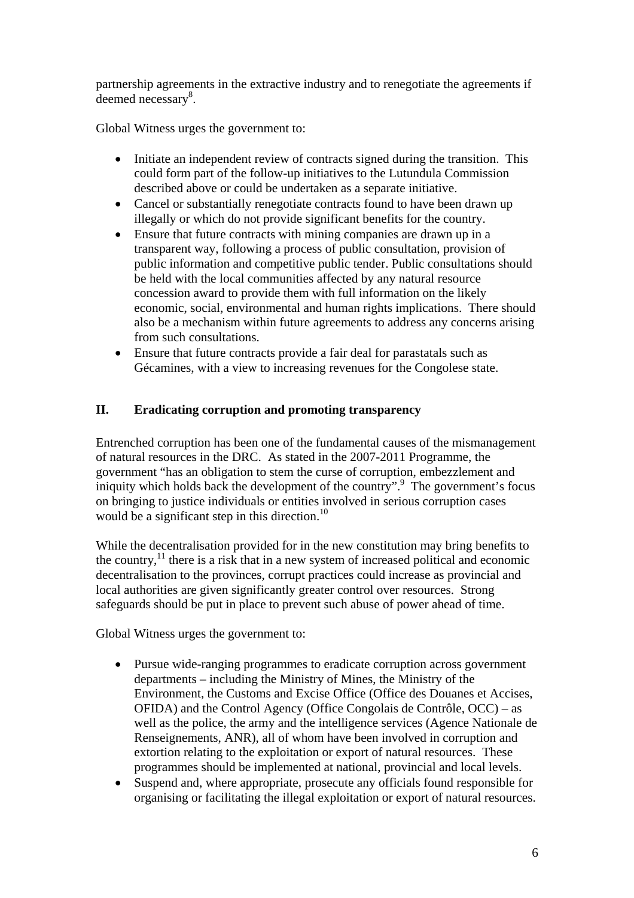partnership agreements in the extractive industry and to renegotiate the agreements if deemed necessary<sup>8</sup>.

Global Witness urges the government to:

- Initiate an independent review of contracts signed during the transition. This could form part of the follow-up initiatives to the Lutundula Commission described above or could be undertaken as a separate initiative.
- Cancel or substantially renegotiate contracts found to have been drawn up illegally or which do not provide significant benefits for the country.
- Ensure that future contracts with mining companies are drawn up in a transparent way, following a process of public consultation, provision of public information and competitive public tender. Public consultations should be held with the local communities affected by any natural resource concession award to provide them with full information on the likely economic, social, environmental and human rights implications. There should also be a mechanism within future agreements to address any concerns arising from such consultations.
- Ensure that future contracts provide a fair deal for parastatals such as Gécamines, with a view to increasing revenues for the Congolese state.

### **II. Eradicating corruption and promoting transparency**

Entrenched corruption has been one of the fundamental causes of the mismanagement of natural resources in the DRC. As stated in the 2007-2011 Programme, the government "has an obligation to stem the curse of corruption, embezzlement and iniquity which holds back the development of the country".<sup>9</sup> The government's focus on bringing to justice individuals or entities involved in serious corruption cases would be a significant step in this direction.<sup>10</sup>

While the decentralisation provided for in the new constitution may bring benefits to the country, $^{11}$  there is a risk that in a new system of increased political and economic decentralisation to the provinces, corrupt practices could increase as provincial and local authorities are given significantly greater control over resources. Strong safeguards should be put in place to prevent such abuse of power ahead of time.

Global Witness urges the government to:

- Pursue wide-ranging programmes to eradicate corruption across government departments – including the Ministry of Mines, the Ministry of the Environment, the Customs and Excise Office (Office des Douanes et Accises, OFIDA) and the Control Agency (Office Congolais de Contrôle, OCC) – as well as the police, the army and the intelligence services (Agence Nationale de Renseignements, ANR), all of whom have been involved in corruption and extortion relating to the exploitation or export of natural resources. These programmes should be implemented at national, provincial and local levels.
- Suspend and, where appropriate, prosecute any officials found responsible for organising or facilitating the illegal exploitation or export of natural resources.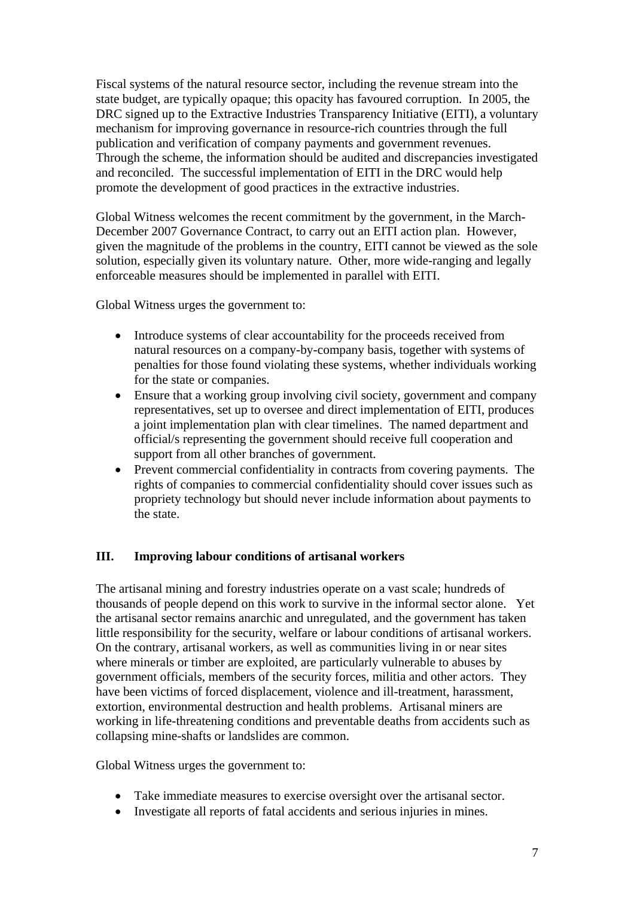Fiscal systems of the natural resource sector, including the revenue stream into the state budget, are typically opaque; this opacity has favoured corruption. In 2005, the DRC signed up to the Extractive Industries Transparency Initiative (EITI), a voluntary mechanism for improving governance in resource-rich countries through the full publication and verification of company payments and government revenues. Through the scheme, the information should be audited and discrepancies investigated and reconciled. The successful implementation of EITI in the DRC would help promote the development of good practices in the extractive industries.

Global Witness welcomes the recent commitment by the government, in the March-December 2007 Governance Contract, to carry out an EITI action plan. However, given the magnitude of the problems in the country, EITI cannot be viewed as the sole solution, especially given its voluntary nature. Other, more wide-ranging and legally enforceable measures should be implemented in parallel with EITI.

Global Witness urges the government to:

- Introduce systems of clear accountability for the proceeds received from natural resources on a company-by-company basis, together with systems of penalties for those found violating these systems, whether individuals working for the state or companies.
- Ensure that a working group involving civil society, government and company representatives, set up to oversee and direct implementation of EITI, produces a joint implementation plan with clear timelines. The named department and official/s representing the government should receive full cooperation and support from all other branches of government.
- Prevent commercial confidentiality in contracts from covering payments. The rights of companies to commercial confidentiality should cover issues such as propriety technology but should never include information about payments to the state.

#### **III. Improving labour conditions of artisanal workers**

The artisanal mining and forestry industries operate on a vast scale; hundreds of thousands of people depend on this work to survive in the informal sector alone. Yet the artisanal sector remains anarchic and unregulated, and the government has taken little responsibility for the security, welfare or labour conditions of artisanal workers. On the contrary, artisanal workers, as well as communities living in or near sites where minerals or timber are exploited, are particularly vulnerable to abuses by government officials, members of the security forces, militia and other actors. They have been victims of forced displacement, violence and ill-treatment, harassment, extortion, environmental destruction and health problems. Artisanal miners are working in life-threatening conditions and preventable deaths from accidents such as collapsing mine-shafts or landslides are common.

Global Witness urges the government to:

- Take immediate measures to exercise oversight over the artisanal sector.
- Investigate all reports of fatal accidents and serious injuries in mines.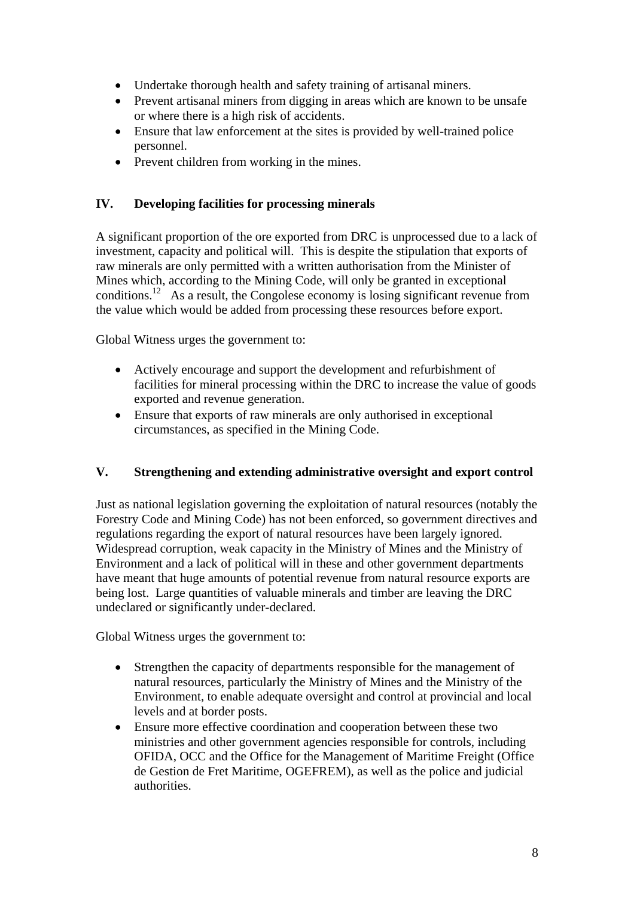- Undertake thorough health and safety training of artisanal miners.
- Prevent artisanal miners from digging in areas which are known to be unsafe or where there is a high risk of accidents.
- Ensure that law enforcement at the sites is provided by well-trained police personnel.
- Prevent children from working in the mines.

### **IV. Developing facilities for processing minerals**

A significant proportion of the ore exported from DRC is unprocessed due to a lack of investment, capacity and political will. This is despite the stipulation that exports of raw minerals are only permitted with a written authorisation from the Minister of Mines which, according to the Mining Code, will only be granted in exceptional conditions.<sup>12</sup> As a result, the Congolese economy is losing significant revenue from the value which would be added from processing these resources before export.

Global Witness urges the government to:

- Actively encourage and support the development and refurbishment of facilities for mineral processing within the DRC to increase the value of goods exported and revenue generation.
- Ensure that exports of raw minerals are only authorised in exceptional circumstances, as specified in the Mining Code.

#### **V. Strengthening and extending administrative oversight and export control**

Just as national legislation governing the exploitation of natural resources (notably the Forestry Code and Mining Code) has not been enforced, so government directives and regulations regarding the export of natural resources have been largely ignored. Widespread corruption, weak capacity in the Ministry of Mines and the Ministry of Environment and a lack of political will in these and other government departments have meant that huge amounts of potential revenue from natural resource exports are being lost. Large quantities of valuable minerals and timber are leaving the DRC undeclared or significantly under-declared.

Global Witness urges the government to:

- Strengthen the capacity of departments responsible for the management of natural resources, particularly the Ministry of Mines and the Ministry of the Environment, to enable adequate oversight and control at provincial and local levels and at border posts.
- Ensure more effective coordination and cooperation between these two ministries and other government agencies responsible for controls, including OFIDA, OCC and the Office for the Management of Maritime Freight (Office de Gestion de Fret Maritime, OGEFREM), as well as the police and judicial authorities.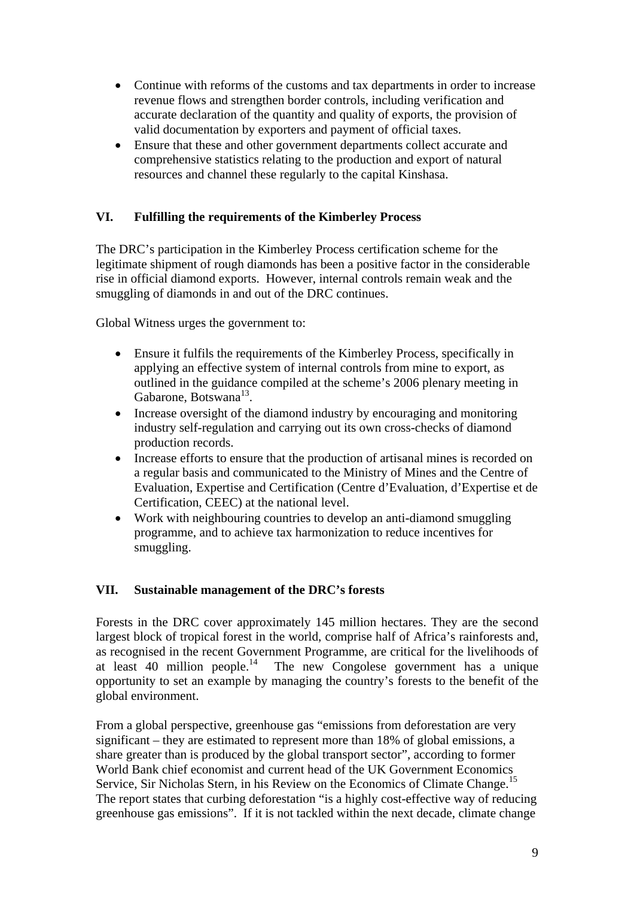- Continue with reforms of the customs and tax departments in order to increase revenue flows and strengthen border controls, including verification and accurate declaration of the quantity and quality of exports, the provision of valid documentation by exporters and payment of official taxes.
- Ensure that these and other government departments collect accurate and comprehensive statistics relating to the production and export of natural resources and channel these regularly to the capital Kinshasa.

### **VI. Fulfilling the requirements of the Kimberley Process**

The DRC's participation in the Kimberley Process certification scheme for the legitimate shipment of rough diamonds has been a positive factor in the considerable rise in official diamond exports. However, internal controls remain weak and the smuggling of diamonds in and out of the DRC continues.

Global Witness urges the government to:

- Ensure it fulfils the requirements of the Kimberley Process, specifically in applying an effective system of internal controls from mine to export, as outlined in the guidance compiled at the scheme's 2006 plenary meeting in Gabarone, Botswana13.
- Increase oversight of the diamond industry by encouraging and monitoring industry self-regulation and carrying out its own cross-checks of diamond production records.
- Increase efforts to ensure that the production of artisanal mines is recorded on a regular basis and communicated to the Ministry of Mines and the Centre of Evaluation, Expertise and Certification (Centre d'Evaluation, d'Expertise et de Certification, CEEC) at the national level.
- Work with neighbouring countries to develop an anti-diamond smuggling programme, and to achieve tax harmonization to reduce incentives for smuggling.

#### **VII. Sustainable management of the DRC's forests**

Forests in the DRC cover approximately 145 million hectares. They are the second largest block of tropical forest in the world, comprise half of Africa's rainforests and, as recognised in the recent Government Programme, are critical for the livelihoods of at least 40 million people.<sup>14</sup> The new Congolese government has a unique The new Congolese government has a unique opportunity to set an example by managing the country's forests to the benefit of the global environment.

From a global perspective, greenhouse gas "emissions from deforestation are very significant – they are estimated to represent more than 18% of global emissions, a share greater than is produced by the global transport sector", according to former World Bank chief economist and current head of the UK Government Economics Service, Sir Nicholas Stern, in his Review on the Economics of Climate Change.<sup>15</sup> The report states that curbing deforestation "is a highly cost-effective way of reducing greenhouse gas emissions". If it is not tackled within the next decade, climate change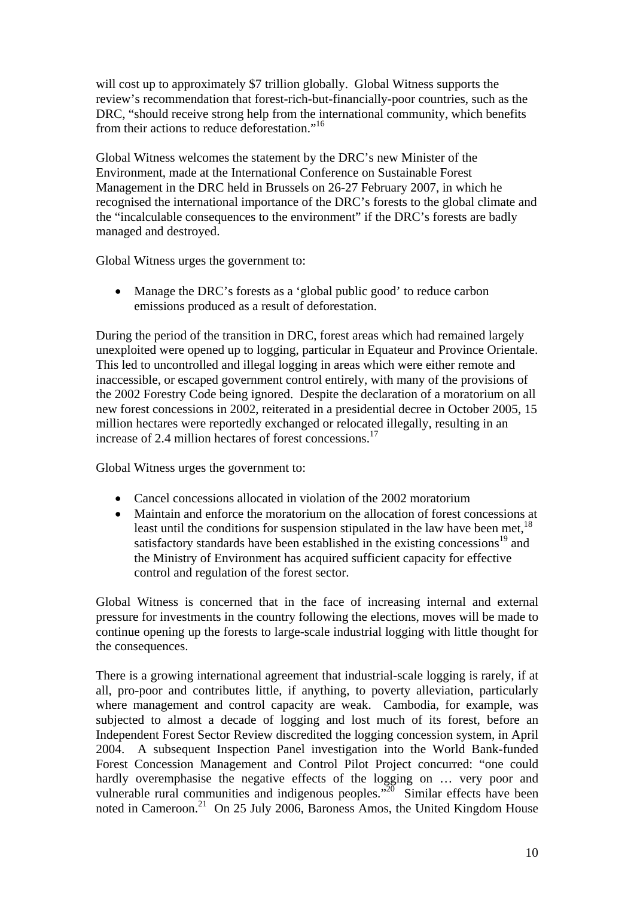will cost up to approximately \$7 trillion globally. Global Witness supports the review's recommendation that forest-rich-but-financially-poor countries, such as the DRC, "should receive strong help from the international community, which benefits from their actions to reduce deforestation."16

Global Witness welcomes the statement by the DRC's new Minister of the Environment, made at the International Conference on Sustainable Forest Management in the DRC held in Brussels on 26-27 February 2007, in which he recognised the international importance of the DRC's forests to the global climate and the "incalculable consequences to the environment" if the DRC's forests are badly managed and destroyed.

Global Witness urges the government to:

• Manage the DRC's forests as a 'global public good' to reduce carbon emissions produced as a result of deforestation.

During the period of the transition in DRC, forest areas which had remained largely unexploited were opened up to logging, particular in Equateur and Province Orientale. This led to uncontrolled and illegal logging in areas which were either remote and inaccessible, or escaped government control entirely, with many of the provisions of the 2002 Forestry Code being ignored. Despite the declaration of a moratorium on all new forest concessions in 2002, reiterated in a presidential decree in October 2005, 15 million hectares were reportedly exchanged or relocated illegally, resulting in an increase of 2.4 million hectares of forest concessions.17

Global Witness urges the government to:

- Cancel concessions allocated in violation of the 2002 moratorium
- Maintain and enforce the moratorium on the allocation of forest concessions at least until the conditions for suspension stipulated in the law have been met,  $^{18}$ satisfactory standards have been established in the existing concessions<sup>19</sup> and the Ministry of Environment has acquired sufficient capacity for effective control and regulation of the forest sector.

Global Witness is concerned that in the face of increasing internal and external pressure for investments in the country following the elections, moves will be made to continue opening up the forests to large-scale industrial logging with little thought for the consequences.

There is a growing international agreement that industrial-scale logging is rarely, if at all, pro-poor and contributes little, if anything, to poverty alleviation, particularly where management and control capacity are weak. Cambodia, for example, was subjected to almost a decade of logging and lost much of its forest, before an Independent Forest Sector Review discredited the logging concession system, in April 2004. A subsequent Inspection Panel investigation into the World Bank-funded Forest Concession Management and Control Pilot Project concurred: "one could hardly overemphasise the negative effects of the logging on … very poor and vulnerable rural communities and indigenous peoples.<sup> $20$ </sup> Similar effects have been noted in Cameroon.<sup>21</sup> On 25 July 2006, Baroness Amos, the United Kingdom House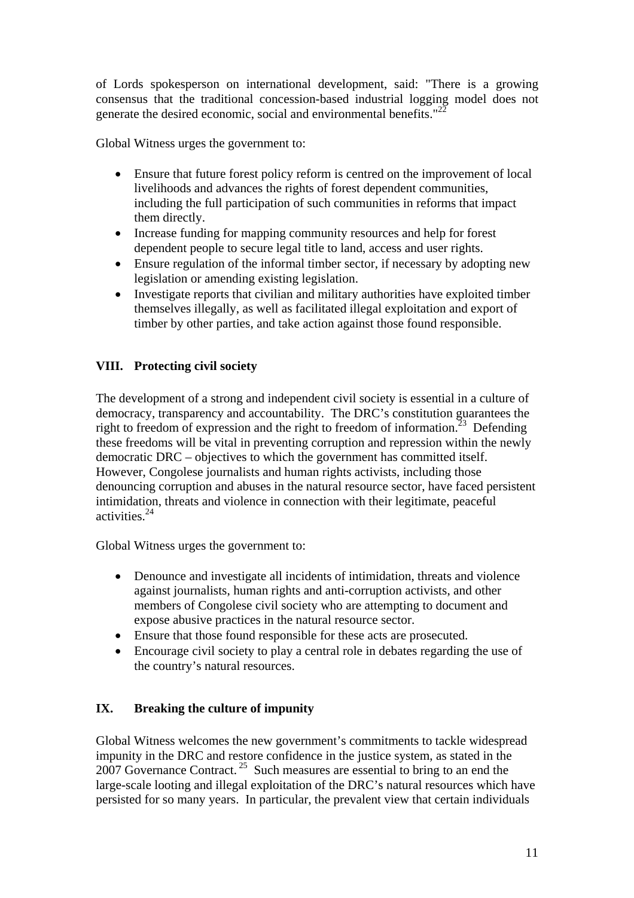of Lords spokesperson on international development, said: "There is a growing consensus that the traditional concession-based industrial logging model does not generate the desired economic, social and environmental benefits."<sup>22</sup>

Global Witness urges the government to:

- Ensure that future forest policy reform is centred on the improvement of local livelihoods and advances the rights of forest dependent communities, including the full participation of such communities in reforms that impact them directly.
- Increase funding for mapping community resources and help for forest dependent people to secure legal title to land, access and user rights.
- Ensure regulation of the informal timber sector, if necessary by adopting new legislation or amending existing legislation.
- Investigate reports that civilian and military authorities have exploited timber themselves illegally, as well as facilitated illegal exploitation and export of timber by other parties, and take action against those found responsible.

## **VIII. Protecting civil society**

The development of a strong and independent civil society is essential in a culture of democracy, transparency and accountability. The DRC's constitution guarantees the right to freedom of expression and the right to freedom of information.<sup>23</sup> Defending these freedoms will be vital in preventing corruption and repression within the newly democratic DRC – objectives to which the government has committed itself. However, Congolese journalists and human rights activists, including those denouncing corruption and abuses in the natural resource sector, have faced persistent intimidation, threats and violence in connection with their legitimate, peaceful activities.24

Global Witness urges the government to:

- Denounce and investigate all incidents of intimidation, threats and violence against journalists, human rights and anti-corruption activists, and other members of Congolese civil society who are attempting to document and expose abusive practices in the natural resource sector.
- Ensure that those found responsible for these acts are prosecuted.
- Encourage civil society to play a central role in debates regarding the use of the country's natural resources.

## **IX. Breaking the culture of impunity**

Global Witness welcomes the new government's commitments to tackle widespread impunity in the DRC and restore confidence in the justice system, as stated in the 2007 Governance Contract.<sup>25</sup> Such measures are essential to bring to an end the large-scale looting and illegal exploitation of the DRC's natural resources which have persisted for so many years. In particular, the prevalent view that certain individuals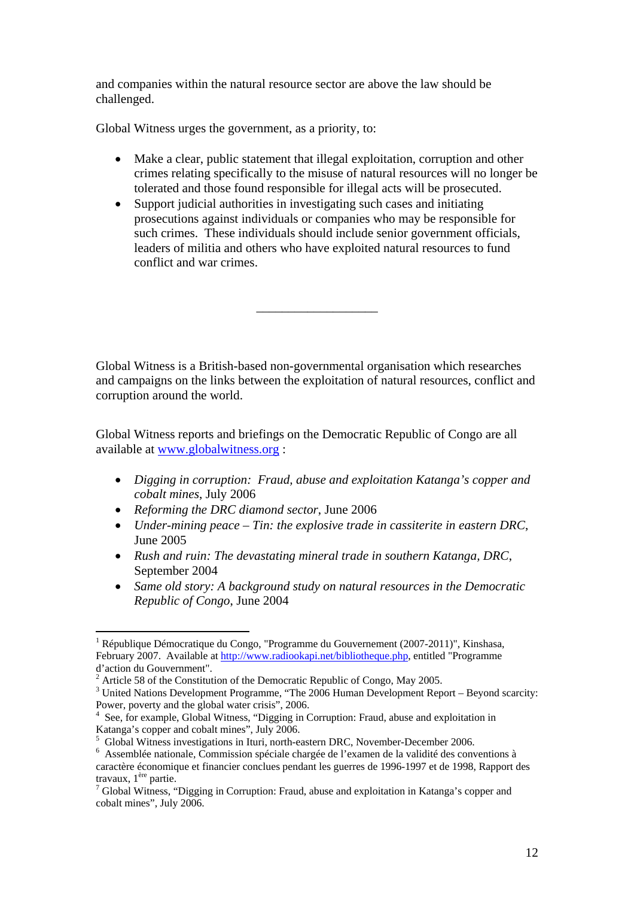and companies within the natural resource sector are above the law should be challenged.

Global Witness urges the government, as a priority, to:

- Make a clear, public statement that illegal exploitation, corruption and other crimes relating specifically to the misuse of natural resources will no longer be tolerated and those found responsible for illegal acts will be prosecuted.
- Support judicial authorities in investigating such cases and initiating prosecutions against individuals or companies who may be responsible for such crimes. These individuals should include senior government officials, leaders of militia and others who have exploited natural resources to fund conflict and war crimes.

\_\_\_\_\_\_\_\_\_\_\_\_\_\_\_\_\_\_\_

Global Witness is a British-based non-governmental organisation which researches and campaigns on the links between the exploitation of natural resources, conflict and corruption around the world.

Global Witness reports and briefings on the Democratic Republic of Congo are all available at www.globalwitness.org :

- *Digging in corruption: Fraud, abuse and exploitation Katanga's copper and cobalt mines*, July 2006
- *Reforming the DRC diamond sector*, June 2006

 $\overline{a}$ 

- *Under-mining peace Tin: the explosive trade in cassiterite in eastern DRC*, June 2005
- *Rush and ruin: The devastating mineral trade in southern Katanga, DRC*, September 2004
- *Same old story: A background study on natural resources in the Democratic Republic of Congo*, June 2004

<sup>1</sup> République Démocratique du Congo, "Programme du Gouvernement (2007-2011)", Kinshasa, February 2007. Available at http://www.radiookapi.net/bibliotheque.php, entitled "Programme d'action du Gouvernment".

<sup>&</sup>lt;sup>2</sup> Article 58 of the Constitution of the Democratic Republic of Congo, May 2005.

<sup>&</sup>lt;sup>3</sup> United Nations Development Programme, "The 2006 Human Development Report – Beyond scarcity: Power, poverty and the global water crisis", 2006.

<sup>&</sup>lt;sup>4</sup> See, for example, Global Witness, "Digging in Corruption: Fraud, abuse and exploitation in Katanga's copper and cobalt mines", July 2006.

 $^5$  Global Witness investigations in Ituri, north-eastern DRC, November-December 2006.

Assemblée nationale, Commission spéciale chargée de l'examen de la validité des conventions à caractère économique et financier conclues pendant les guerres de 1996-1997 et de 1998, Rapport des travaux, 1ère partie.

 $\frac{7}{7}$  Global Witness, "Digging in Corruption: Fraud, abuse and exploitation in Katanga's copper and cobalt mines", July 2006.